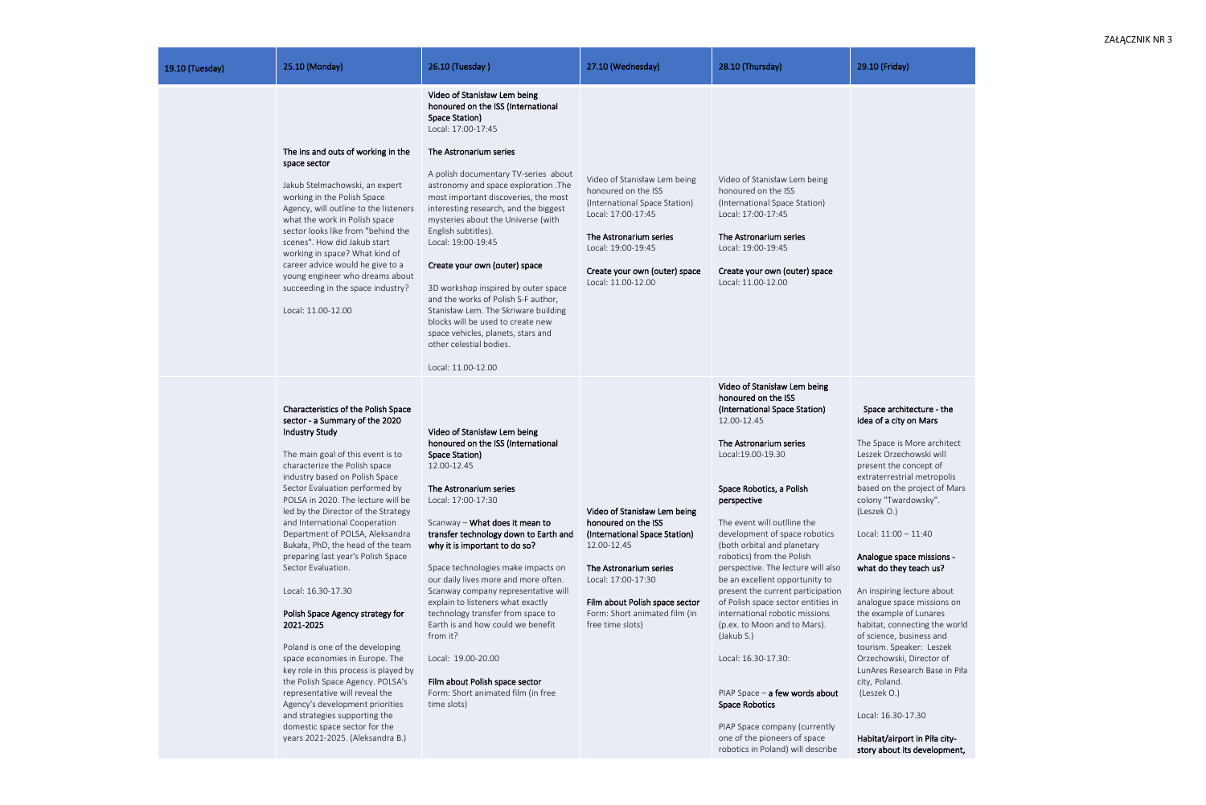| 19.10 (Tuesday) | 25.10 (Monday)                                                                                                                                                                                                                                                                                                                                                                                                                                                                                                                                                                                                                                                                                                                                                                                                                                                                                 | 26.10 (Tuesday)                                                                                                                                                                                                                                                                                                                                                                                                                                                                                                                                                                                                                                                             | 27.10 (Wednesday)                                                                                                                                                                                                                          | 28.10 (Thursday)                                                                                                                                                                                                                                                                                                                                                                                                                                                                                                                                                                                                                                                                                                                                        | 29.10 (Friday)                                                                                                                                                                                                                                                                                                                                                                                                                                                                                                                                                                                                                                                                |
|-----------------|------------------------------------------------------------------------------------------------------------------------------------------------------------------------------------------------------------------------------------------------------------------------------------------------------------------------------------------------------------------------------------------------------------------------------------------------------------------------------------------------------------------------------------------------------------------------------------------------------------------------------------------------------------------------------------------------------------------------------------------------------------------------------------------------------------------------------------------------------------------------------------------------|-----------------------------------------------------------------------------------------------------------------------------------------------------------------------------------------------------------------------------------------------------------------------------------------------------------------------------------------------------------------------------------------------------------------------------------------------------------------------------------------------------------------------------------------------------------------------------------------------------------------------------------------------------------------------------|--------------------------------------------------------------------------------------------------------------------------------------------------------------------------------------------------------------------------------------------|---------------------------------------------------------------------------------------------------------------------------------------------------------------------------------------------------------------------------------------------------------------------------------------------------------------------------------------------------------------------------------------------------------------------------------------------------------------------------------------------------------------------------------------------------------------------------------------------------------------------------------------------------------------------------------------------------------------------------------------------------------|-------------------------------------------------------------------------------------------------------------------------------------------------------------------------------------------------------------------------------------------------------------------------------------------------------------------------------------------------------------------------------------------------------------------------------------------------------------------------------------------------------------------------------------------------------------------------------------------------------------------------------------------------------------------------------|
|                 | The ins and outs of working in the<br>space sector<br>Jakub Stelmachowski, an expert<br>working in the Polish Space<br>Agency, will outline to the listeners<br>what the work in Polish space<br>sector looks like from "behind the<br>scenes". How did Jakub start<br>working in space? What kind of<br>career advice would he give to a<br>young engineer who dreams about<br>succeeding in the space industry?<br>Local: 11.00-12.00                                                                                                                                                                                                                                                                                                                                                                                                                                                        | Video of Stanisław Lem being<br>honoured on the ISS (International<br>Space Station)<br>Local: 17:00-17:45<br>The Astronarium series<br>A polish documentary TV-series about<br>astronomy and space exploration .The<br>most important discoveries, the most<br>interesting research, and the biggest<br>mysteries about the Universe (with<br>English subtitles).<br>Local: 19:00-19:45<br>Create your own (outer) space<br>3D workshop inspired by outer space<br>and the works of Polish S-F author,<br>Stanisław Lem. The Skriware building<br>blocks will be used to create new<br>space vehicles, planets, stars and<br>other celestial bodies.<br>Local: 11.00-12.00 | Video of Stanisław Lem being<br>honoured on the ISS<br>(International Space Station)<br>Local: 17:00-17:45<br>The Astronarium series<br>Local: 19:00-19:45<br>Create your own (outer) space<br>Local: 11.00-12.00                          | Video of Stanisław Lem being<br>honoured on the ISS<br>(International Space Station)<br>Local: 17:00-17:45<br>The Astronarium series<br>Local: 19:00-19:45<br>Create your own (outer) space<br>Local: 11.00-12.00                                                                                                                                                                                                                                                                                                                                                                                                                                                                                                                                       |                                                                                                                                                                                                                                                                                                                                                                                                                                                                                                                                                                                                                                                                               |
|                 | Characteristics of the Polish Space<br>sector - a Summary of the 2020<br><b>Industry Study</b><br>The main goal of this event is to<br>characterize the Polish space<br>industry based on Polish Space<br>Sector Evaluation performed by<br>POLSA in 2020. The lecture will be<br>led by the Director of the Strategy<br>and International Cooperation<br>Department of POLSA, Aleksandra<br>Bukała, PhD, the head of the team<br>preparing last year's Polish Space<br>Sector Evaluation.<br>Local: 16.30-17.30<br>Polish Space Agency strategy for<br>2021-2025<br>Poland is one of the developing<br>space economies in Europe. The<br>key role in this process is played by<br>the Polish Space Agency. POLSA's<br>representative will reveal the<br>Agency's development priorities<br>and strategies supporting the<br>domestic space sector for the<br>years 2021-2025. (Aleksandra B.) | Video of Stanisław Lem being<br>honoured on the ISS (International<br>Space Station)<br>12.00-12.45<br>The Astronarium series<br>Local: 17:00-17:30<br>Scanway - What does it mean to<br>transfer technology down to Earth and<br>why it is important to do so?<br>Space technologies make impacts on<br>our daily lives more and more often.<br>Scanway company representative will<br>explain to listeners what exactly<br>technology transfer from space to<br>Earth is and how could we benefit<br>from it?<br>Local: 19.00-20.00<br>Film about Polish space sector<br>Form: Short animated film (in free<br>time slots)                                                | Video of Stanisław Lem being<br>honoured on the ISS<br>(International Space Station)<br>12.00-12.45<br>The Astronarium series<br>Local: 17:00-17:30<br>Film about Polish space sector<br>Form: Short animated film (in<br>free time slots) | Video of Stanisław Lem being<br>honoured on the ISS<br>(International Space Station)<br>12.00-12.45<br>The Astronarium series<br>Local: 19.00-19.30<br>Space Robotics, a Polish<br>perspective<br>The event will outlline the<br>development of space robotics<br>(both orbital and planetary<br>robotics) from the Polish<br>perspective. The lecture will also<br>be an excellent opportunity to<br>present the current participation<br>of Polish space sector entities in<br>international robotic missions<br>(p.ex. to Moon and to Mars).<br>(Jakub S.)<br>Local: 16.30-17.30:<br>PIAP Space $-$ a few words about<br><b>Space Robotics</b><br>PIAP Space company (currently<br>one of the pioneers of space<br>robotics in Poland) will describe | Space architecture - the<br>idea of a city on Mars<br>The Space is More archite<br>Leszek Orzechowski will<br>present the concept of<br>extraterrestrial metropolis<br>based on the project of M<br>colony "Twardowsky".<br>(Leszek O.)<br>Local: 11:00 - 11:40<br>Analogue space missions -<br>what do they teach us?<br>An inspiring lecture about<br>analogue space missions c<br>the example of Lunares<br>habitat, connecting the wo<br>of science, business and<br>tourism. Speaker: Leszek<br>Orzechowski, Director of<br>LunAres Research Base in<br>city, Poland.<br>(Leszek O.)<br>Local: 16.30-17.30<br>Habitat/airport in Piła city-<br>story about its developme |

analogue space missions on the example of Lunares habitat, connecting the world of science, business and tourism. Speaker: Leszek Orzechowski, Director of LunAres Research Base in Piła city, Poland. ut (Leszek O.)

## Space architecture - the idea of a city on Mars

The Space is More architect Leszek Orzechowski will present the concept of extraterrestrial metropolis based on the project of Mars colony "Twardowsky". (Leszek O.)

# Analogue space missions what do they teach us?

Habitat/airport in Piła citystory about its development,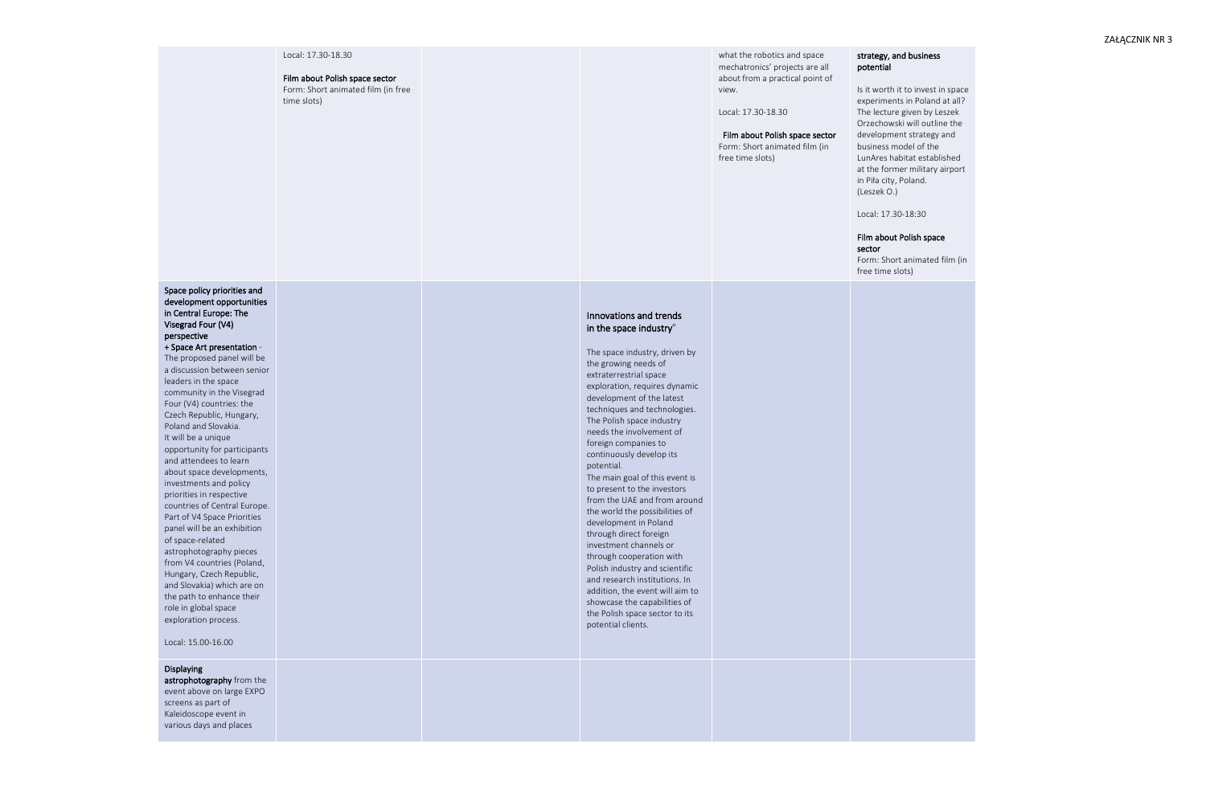#### Local: 17.30 -18.30

Film about Polish space sector Form: Short animated film (in free time slots)

what the robotics and space mechatronics' projects are all about from a practical point of view.

Local: 17.30 -18.30

## Film about Polish space sector

Form: Short animated film (in free time slots)

## strategy, and business potential

Is it worth it to invest in space experiments in Poland at all? The lecture given by Leszek Orzechowski will outline the development strategy and business model of the LunAres habitat established at the former military airport in Piła city, Poland. (Leszek O.)

Local: 17.30 -18:30

## Film about Polish space sector

Form: Short animated film (in free time slots)

Space policy priorities and development opportunities in Central Europe: The Visegrad Four (V4) perspective

### + Space Art presentation -

The proposed panel will be a discussion between senior leaders in the space community in the Visegrad Four (V4) countries: the Czech Republic, Hungary, Poland and Slovakia. It will be a unique opportunity for participants and attendees to learn about space developments, investments and policy priorities in respective countries of Central Europe. Part of V4 Space Priorities panel will be an exhibition of space -related astrophotography pieces from V4 countries (Poland, Hungary, Czech Republic, and Slovakia) which are on the path to enhance their role in global space exploration process.

Local: 15.00 -16.00

## Innovations and trends in the space industry"

The space industry, driven by the growing needs of extraterrestrial space exploration, requires dynamic development of the latest techniques and technologies. The Polish space industry needs the involvement of foreign companies to continuously develop its potential. The main goal of this event is to present to the investors from the UAE and from around the world the possibilities of development in Poland through direct foreign investment channels or through cooperation with Polish industry and scientific and research institutions. In addition, the event will aim to showcase the capabilities of the Polish space sector to its potential clients.

## Displaying

astrophotography from the event above on large EXPO screens as part of Kaleidoscope event in various days and places